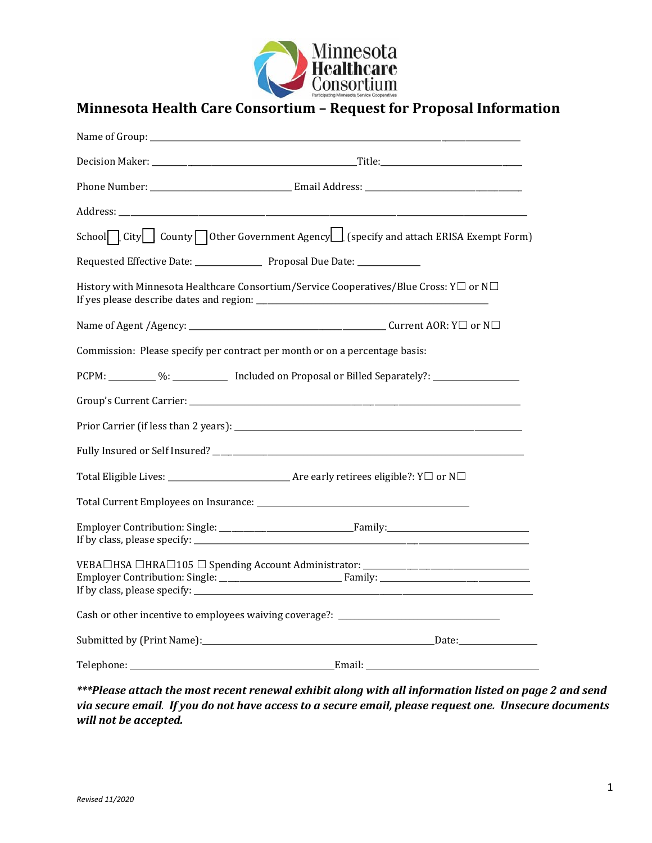

## **Minnesota Health Care Consortium – Request for Proposal Information**

|                                                                                  | School   City   County   Other Government Agency   (specify and attach ERISA Exempt Form)           |
|----------------------------------------------------------------------------------|-----------------------------------------------------------------------------------------------------|
| Requested Effective Date: ___________________ Proposal Due Date: _______________ |                                                                                                     |
|                                                                                  | History with Minnesota Healthcare Consortium/Service Cooperatives/Blue Cross: Y□ or N□              |
|                                                                                  |                                                                                                     |
| Commission: Please specify per contract per month or on a percentage basis:      |                                                                                                     |
|                                                                                  | PCPM: __________ %: ____________ Included on Proposal or Billed Separately?: ______________________ |
|                                                                                  |                                                                                                     |
|                                                                                  |                                                                                                     |
|                                                                                  |                                                                                                     |
|                                                                                  |                                                                                                     |
|                                                                                  |                                                                                                     |
|                                                                                  |                                                                                                     |
|                                                                                  | VEBA□HSA □HRA□105 □ Spending Account Administrator: ____________________________                    |
|                                                                                  |                                                                                                     |
|                                                                                  | Cash or other incentive to employees waiving coverage?: _________________________                   |
|                                                                                  |                                                                                                     |
|                                                                                  |                                                                                                     |

*\*\*\*Please attach the most recent renewal exhibit along with all information listed on page 2 and send via secure email. If you do not have access to a secure email, please request one. Unsecure documents will not be accepted.*